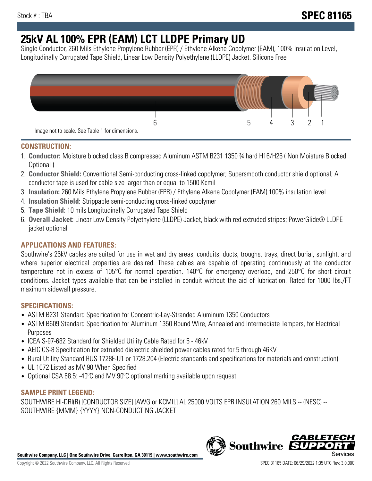# **25kV AL 100% EPR (EAM) LCT LLDPE Primary UD**

Single Conductor, 260 Mils Ethylene Propylene Rubber (EPR) / Ethylene Alkene Copolymer (EAM), 100% Insulation Level, Longitudinally Corrugated Tape Shield, Linear Low Density Polyethylene (LLDPE) Jacket. Silicone Free



## **CONSTRUCTION:**

- 1. **Conductor:** Moisture blocked class B compressed Aluminum ASTM B231 1350 ¾ hard H16/H26 ( Non Moisture Blocked Optional )
- 2. **Conductor Shield:** Conventional Semi-conducting cross-linked copolymer; Supersmooth conductor shield optional; A conductor tape is used for cable size larger than or equal to 1500 Kcmil
- 3. **Insulation:** 260 Mils Ethylene Propylene Rubber (EPR) / Ethylene Alkene Copolymer (EAM) 100% insulation level
- 4. **Insulation Shield:** Strippable semi-conducting cross-linked copolymer
- 5. **Tape Shield:** 10 mils Longitudinally Corrugated Tape Shield
- 6. **Overall Jacket:** Linear Low Density Polyethylene (LLDPE) Jacket, black with red extruded stripes; PowerGlide® LLDPE jacket optional

# **APPLICATIONS AND FEATURES:**

Southwire's 25kV cables are suited for use in wet and dry areas, conduits, ducts, troughs, trays, direct burial, sunlight, and where superior electrical properties are desired. These cables are capable of operating continuously at the conductor temperature not in excess of 105°C for normal operation. 140°C for emergency overload, and 250°C for short circuit conditions. Jacket types available that can be installed in conduit without the aid of lubrication. Rated for 1000 lbs./FT maximum sidewall pressure.

## **SPECIFICATIONS:**

- ASTM B231 Standard Specification for Concentric-Lay-Stranded Aluminum 1350 Conductors
- ASTM B609 Standard Specification for Aluminum 1350 Round Wire, Annealed and Intermediate Tempers, for Electrical Purposes
- ICEA S-97-682 Standard for Shielded Utility Cable Rated for 5 46kV
- AEIC CS-8 Specification for extruded dielectric shielded power cables rated for 5 through 46KV
- Rural Utility Standard RUS 1728F-U1 or 1728.204 (Electric standards and specifications for materials and construction)
- UL 1072 Listed as MV 90 When Specified
- Optional CSA 68.5: -40ºC and MV 90ºC optional marking available upon request

## **SAMPLE PRINT LEGEND:**

SOUTHWIRE HI-DRI(R) [CONDUCTOR SIZE] [AWG or KCMIL] AL 25000 VOLTS EPR INSULATION 260 MILS -- (NESC) -- SOUTHWIRE {MMM} {YYYY} NON-CONDUCTING JACKET



**Southwire** 

*CABLE*